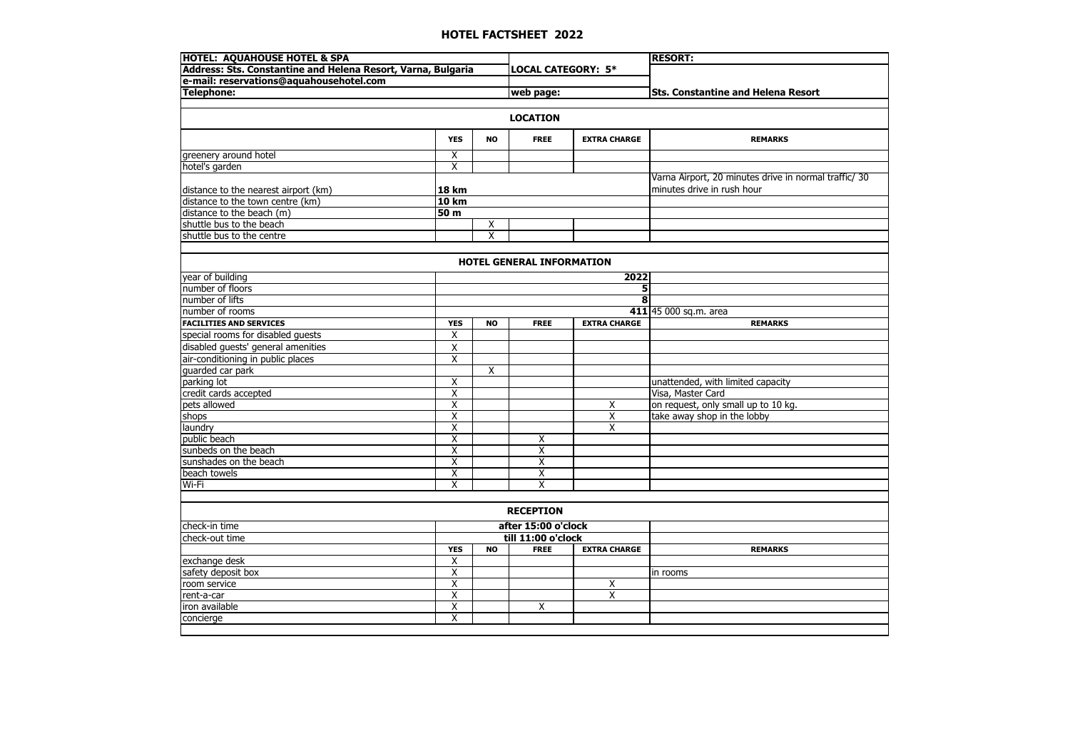## **HOTEL FACTSHEET 2022**

| <b>HOTEL: AQUAHOUSE HOTEL &amp; SPA</b>                                                                 |                                                    |                         |                                  | <b>RESORT:</b>          |                                                                                     |  |  |  |
|---------------------------------------------------------------------------------------------------------|----------------------------------------------------|-------------------------|----------------------------------|-------------------------|-------------------------------------------------------------------------------------|--|--|--|
| Address: Sts. Constantine and Helena Resort, Varna, Bulgaria<br>e-mail: reservations@aquahousehotel.com |                                                    |                         | <b>LOCAL CATEGORY: 5*</b>        |                         |                                                                                     |  |  |  |
|                                                                                                         |                                                    |                         |                                  |                         |                                                                                     |  |  |  |
| Telephone:                                                                                              |                                                    |                         | web page:                        |                         | <b>Sts. Constantine and Helena Resort</b>                                           |  |  |  |
|                                                                                                         |                                                    |                         |                                  |                         |                                                                                     |  |  |  |
| <b>LOCATION</b>                                                                                         |                                                    |                         |                                  |                         |                                                                                     |  |  |  |
|                                                                                                         | <b>YES</b>                                         | <b>NO</b>               | <b>FREE</b>                      | <b>EXTRA CHARGE</b>     | <b>REMARKS</b>                                                                      |  |  |  |
| greenery around hotel                                                                                   | Χ                                                  |                         |                                  |                         |                                                                                     |  |  |  |
| hotel's garden                                                                                          | $\overline{\mathsf{X}}$                            |                         |                                  |                         |                                                                                     |  |  |  |
| distance to the nearest airport (km)                                                                    | <b>18 km</b>                                       |                         |                                  |                         | Varna Airport, 20 minutes drive in normal traffic/ 30<br>minutes drive in rush hour |  |  |  |
| distance to the town centre (km)                                                                        | <b>10 km</b>                                       |                         |                                  |                         |                                                                                     |  |  |  |
| distance to the beach (m)                                                                               | 50 <sub>m</sub>                                    |                         |                                  |                         |                                                                                     |  |  |  |
| shuttle bus to the beach                                                                                |                                                    | Χ                       |                                  |                         |                                                                                     |  |  |  |
| shuttle bus to the centre                                                                               |                                                    | $\overline{\mathsf{X}}$ |                                  |                         |                                                                                     |  |  |  |
|                                                                                                         |                                                    |                         |                                  |                         |                                                                                     |  |  |  |
|                                                                                                         |                                                    |                         | <b>HOTEL GENERAL INFORMATION</b> |                         |                                                                                     |  |  |  |
| year of building                                                                                        |                                                    |                         |                                  | 2022                    |                                                                                     |  |  |  |
| number of floors                                                                                        |                                                    |                         |                                  | 5                       |                                                                                     |  |  |  |
| number of lifts                                                                                         |                                                    |                         |                                  | $\overline{\mathbf{8}}$ |                                                                                     |  |  |  |
| number of rooms                                                                                         |                                                    |                         |                                  |                         | 411 45 000 sq.m. area                                                               |  |  |  |
| <b>FACILITIES AND SERVICES</b>                                                                          | <b>YES</b>                                         | <b>NO</b>               | <b>FREE</b>                      | <b>EXTRA CHARGE</b>     | <b>REMARKS</b>                                                                      |  |  |  |
| special rooms for disabled guests                                                                       | $\overline{\mathsf{x}}$                            |                         |                                  |                         |                                                                                     |  |  |  |
| disabled guests' general amenities                                                                      | Χ                                                  |                         |                                  |                         |                                                                                     |  |  |  |
| air-conditioning in public places                                                                       | $\overline{X}$                                     |                         |                                  |                         |                                                                                     |  |  |  |
| guarded car park                                                                                        |                                                    | X                       |                                  |                         |                                                                                     |  |  |  |
| parking lot                                                                                             | Χ                                                  |                         |                                  |                         | unattended, with limited capacity                                                   |  |  |  |
| credit cards accepted                                                                                   | $\overline{\mathsf{x}}$                            |                         |                                  |                         | Visa, Master Card                                                                   |  |  |  |
| pets allowed                                                                                            | $\overline{\mathsf{X}}$                            |                         |                                  | Χ                       | on request, only small up to 10 kg.                                                 |  |  |  |
| shops                                                                                                   | $\overline{\mathsf{x}}$                            |                         |                                  | $\overline{\mathsf{x}}$ | take away shop in the lobby                                                         |  |  |  |
| laundry                                                                                                 | $\overline{\mathsf{X}}$                            |                         |                                  | $\overline{\mathsf{x}}$ |                                                                                     |  |  |  |
| public beach<br>sunbeds on the beach                                                                    | $\overline{\mathsf{x}}$                            |                         | Χ<br>$\overline{\mathsf{x}}$     |                         |                                                                                     |  |  |  |
|                                                                                                         | $\overline{\mathsf{X}}$<br>$\overline{\mathsf{X}}$ |                         | $\overline{X}$                   |                         |                                                                                     |  |  |  |
| sunshades on the beach                                                                                  |                                                    |                         |                                  |                         |                                                                                     |  |  |  |
| beach towels<br>Wi-Fi                                                                                   | X<br>$\overline{\mathsf{x}}$                       |                         | х<br>$\overline{\mathsf{X}}$     |                         |                                                                                     |  |  |  |
|                                                                                                         |                                                    |                         |                                  |                         |                                                                                     |  |  |  |
|                                                                                                         |                                                    |                         | <b>RECEPTION</b>                 |                         |                                                                                     |  |  |  |
| check-in time                                                                                           |                                                    |                         | after 15:00 o'clock              |                         |                                                                                     |  |  |  |
| check-out time                                                                                          |                                                    |                         | till 11:00 o'clock               |                         |                                                                                     |  |  |  |
|                                                                                                         | <b>YES</b>                                         | <b>NO</b>               | <b>FREE</b>                      | <b>EXTRA CHARGE</b>     | <b>REMARKS</b>                                                                      |  |  |  |
|                                                                                                         | $\overline{\mathsf{X}}$                            |                         |                                  |                         |                                                                                     |  |  |  |
| exchange desk<br>safety deposit box<br>room service                                                     | $\overline{\mathsf{X}}$                            |                         |                                  |                         | in rooms                                                                            |  |  |  |
|                                                                                                         | $\overline{\mathsf{X}}$                            |                         |                                  | Χ                       |                                                                                     |  |  |  |
|                                                                                                         | Χ                                                  |                         |                                  | $\overline{\mathsf{X}}$ |                                                                                     |  |  |  |
| rent-a-car<br>iron available                                                                            | $\overline{\mathsf{X}}$                            |                         | Χ                                |                         |                                                                                     |  |  |  |
| concierge                                                                                               | Χ                                                  |                         |                                  |                         |                                                                                     |  |  |  |
|                                                                                                         |                                                    |                         |                                  |                         |                                                                                     |  |  |  |
|                                                                                                         |                                                    |                         |                                  |                         |                                                                                     |  |  |  |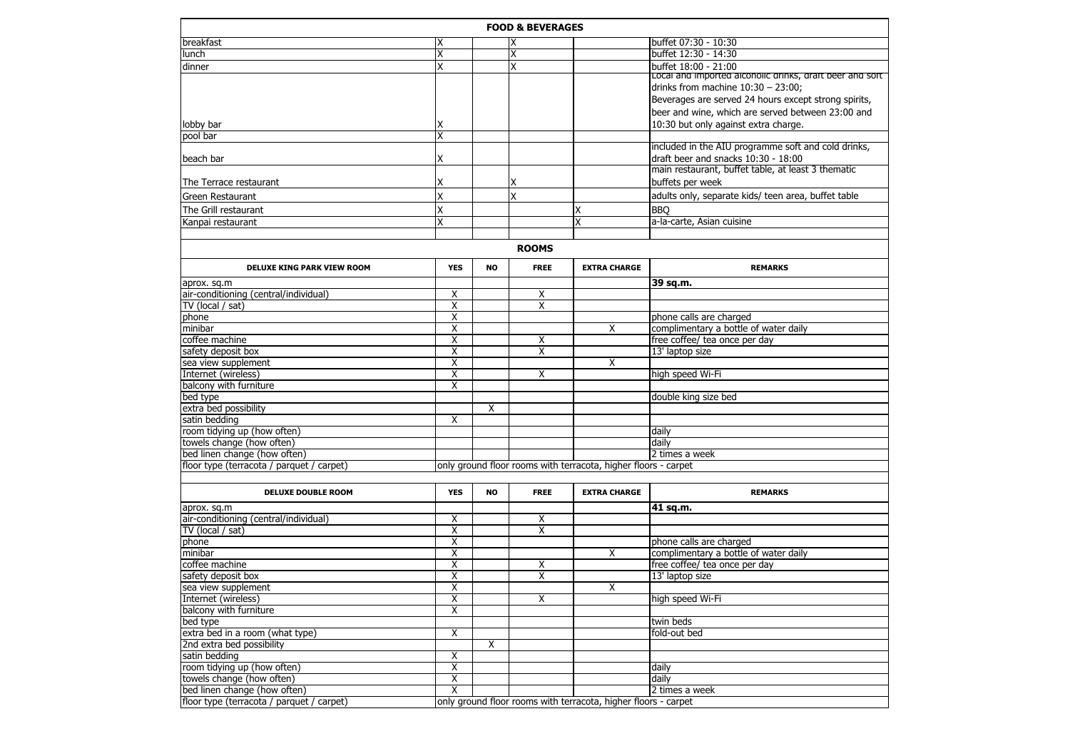| <b>FOOD &amp; BEVERAGES</b>               |                         |                |                         |                                                                |                                                                                  |  |
|-------------------------------------------|-------------------------|----------------|-------------------------|----------------------------------------------------------------|----------------------------------------------------------------------------------|--|
|                                           |                         |                |                         |                                                                |                                                                                  |  |
| breakfast                                 | х                       |                | х                       |                                                                | buffet 07:30 - 10:30                                                             |  |
| lunch                                     | $\overline{\mathsf{x}}$ |                | X                       |                                                                | buffet 12:30 - 14:30                                                             |  |
| dinner                                    | X                       |                | X                       |                                                                | buffet 18:00 - 21:00<br>Local and imported alconolic drinks, draft beer and soft |  |
|                                           |                         |                |                         |                                                                | drinks from machine $10:30 - 23:00$ ;                                            |  |
|                                           |                         |                |                         |                                                                |                                                                                  |  |
|                                           |                         |                |                         |                                                                | Beverages are served 24 hours except strong spirits,                             |  |
|                                           |                         |                |                         |                                                                | beer and wine, which are served between 23:00 and                                |  |
| lobby bar                                 | χ                       |                |                         |                                                                | 10:30 but only against extra charge.                                             |  |
| pool bar                                  | $\overline{\mathsf{x}}$ |                |                         |                                                                |                                                                                  |  |
|                                           |                         |                |                         |                                                                | included in the AIU programme soft and cold drinks,                              |  |
| beach bar                                 | χ                       |                |                         |                                                                | draft beer and snacks 10:30 - 18:00                                              |  |
|                                           |                         |                |                         |                                                                | main restaurant, buffet table, at least 3 thematic                               |  |
| The Terrace restaurant                    | х                       |                | х                       |                                                                | buffets per week                                                                 |  |
| lGreen Restaurant                         |                         |                | X                       |                                                                | adults only, separate kids/ teen area, buffet table                              |  |
| The Grill restaurant                      |                         |                |                         | Χ                                                              | <b>BBQ</b>                                                                       |  |
| Kanpai restaurant                         |                         |                |                         | Χ                                                              | a-la-carte, Asian cuisine                                                        |  |
|                                           |                         |                |                         |                                                                |                                                                                  |  |
|                                           |                         |                | <b>ROOMS</b>            |                                                                |                                                                                  |  |
| <b>DELUXE KING PARK VIEW ROOM</b>         | <b>YES</b>              | <b>NO</b>      | <b>FREE</b>             | <b>EXTRA CHARGE</b>                                            | <b>REMARKS</b>                                                                   |  |
| aprox. sq.m                               |                         |                |                         |                                                                | 39 sq.m.                                                                         |  |
| air-conditioning (central/individual)     | Χ                       |                | Χ                       |                                                                |                                                                                  |  |
| TV (local / sat)                          | $\overline{X}$          |                | $\overline{\mathsf{x}}$ |                                                                |                                                                                  |  |
| phone                                     | $\overline{\mathsf{X}}$ |                |                         |                                                                | phone calls are charged                                                          |  |
| minibar                                   | $\overline{\mathsf{X}}$ |                |                         | X                                                              | complimentary a bottle of water daily                                            |  |
| coffee machine                            | Χ                       |                | Χ                       |                                                                | free coffee/ tea once per day                                                    |  |
| safety deposit box                        | Χ                       |                | $\overline{\mathsf{X}}$ |                                                                | 13' laptop size                                                                  |  |
| sea view supplement                       | $\overline{X}$          |                |                         | X                                                              |                                                                                  |  |
| Internet (wireless)                       | $\overline{\mathsf{X}}$ |                | X                       |                                                                | high speed Wi-Fi                                                                 |  |
| balcony with furniture                    | Χ                       |                |                         |                                                                |                                                                                  |  |
| bed type                                  |                         |                |                         |                                                                | double king size bed                                                             |  |
| extra bed possibility                     |                         | $\overline{X}$ |                         |                                                                |                                                                                  |  |
| satin bedding                             | X                       |                |                         |                                                                |                                                                                  |  |
| room tidying up (how often)               |                         |                |                         |                                                                | daily                                                                            |  |
| towels change (how often)                 |                         |                |                         |                                                                | daily                                                                            |  |
| bed linen change (how often)              |                         |                |                         |                                                                | 2 times a week                                                                   |  |
| floor type (terracota / parquet / carpet) |                         |                |                         | only ground floor rooms with terracota, higher floors - carpet |                                                                                  |  |
|                                           |                         |                |                         |                                                                |                                                                                  |  |
| <b>DELUXE DOUBLE ROOM</b>                 | <b>YES</b>              | <b>NO</b>      | <b>FREE</b>             | <b>EXTRA CHARGE</b>                                            | <b>REMARKS</b>                                                                   |  |
| aprox. sq.m                               |                         |                |                         |                                                                | 41 sq.m.                                                                         |  |
| air-conditioning (central/individual)     | Χ                       |                | X                       |                                                                |                                                                                  |  |
| TV (local / sat)                          | Χ                       |                | $\overline{X}$          |                                                                |                                                                                  |  |
| phone                                     | $\overline{X}$          |                |                         |                                                                | phone calls are charged                                                          |  |
| minibar                                   | $\overline{X}$          |                |                         | $\overline{X}$                                                 | complimentary a bottle of water daily                                            |  |
| coffee machine                            | $\overline{X}$          |                | Χ                       |                                                                | free coffee/ tea once per day                                                    |  |
| safety deposit box                        | $\overline{X}$          |                | $\overline{X}$          |                                                                | 13' laptop size                                                                  |  |
| sea view supplement                       | $\overline{X}$          |                |                         | $\overline{X}$                                                 |                                                                                  |  |
| Internet (wireless)                       | $\overline{X}$          |                | X                       |                                                                | high speed Wi-Fi                                                                 |  |
| balcony with furniture                    | Χ                       |                |                         |                                                                |                                                                                  |  |
| bed type                                  |                         |                |                         |                                                                | twin beds                                                                        |  |
| extra bed in a room (what type)           | X                       |                |                         |                                                                | fold-out bed                                                                     |  |
| 2nd extra bed possibility                 |                         | X              |                         |                                                                |                                                                                  |  |
| satin bedding                             | X                       |                |                         |                                                                |                                                                                  |  |
| room tidying up (how often)               | $\overline{X}$          |                |                         |                                                                | daily                                                                            |  |
| towels change (how often)                 | Χ                       |                |                         |                                                                | daily                                                                            |  |
| bed linen change (how often)              | X                       |                |                         |                                                                | 2 times a week                                                                   |  |
| floor type (terracota / parquet / carpet) |                         |                |                         | only ground floor rooms with terracota, higher floors - carpet |                                                                                  |  |
|                                           |                         |                |                         |                                                                |                                                                                  |  |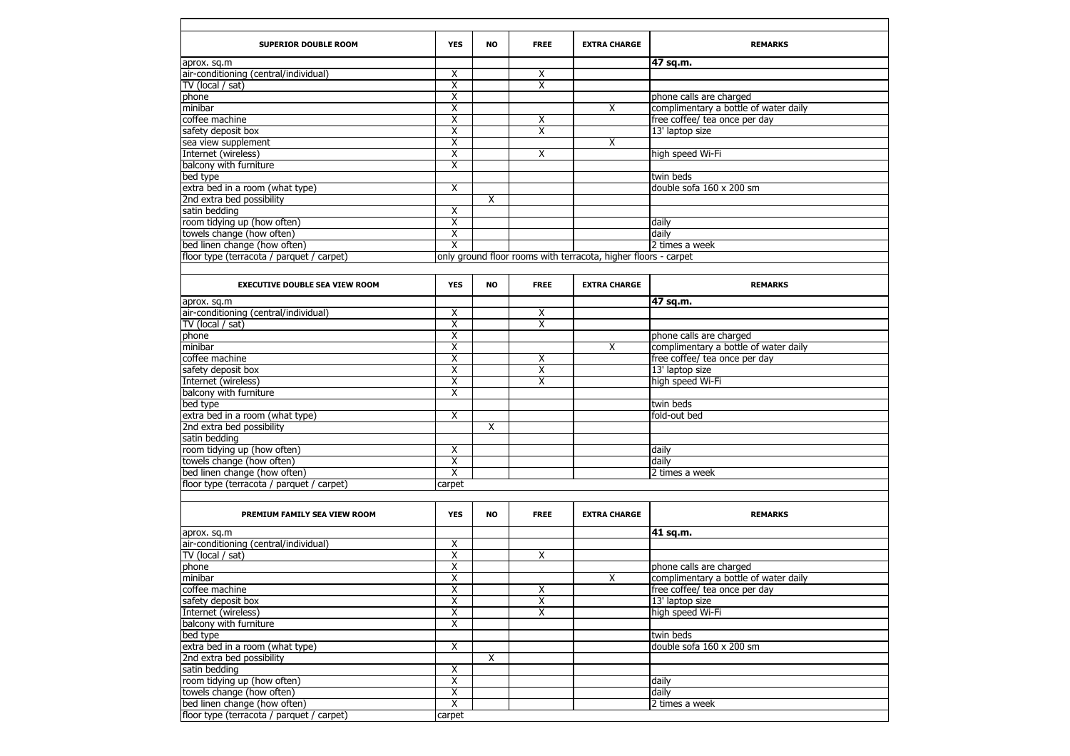| <b>SUPERIOR DOUBLE ROOM</b>               | <b>YES</b>              | <b>NO</b>      | <b>FREE</b>             | <b>EXTRA CHARGE</b>                                            | <b>REMARKS</b>                        |
|-------------------------------------------|-------------------------|----------------|-------------------------|----------------------------------------------------------------|---------------------------------------|
| aprox. sq.m                               |                         |                |                         |                                                                | 47 sq.m.                              |
| air-conditioning (central/individual)     | Χ                       |                | $\overline{X}$          |                                                                |                                       |
| TV (local / sat)                          | $\overline{\mathsf{X}}$ |                | $\overline{\mathsf{x}}$ |                                                                |                                       |
| phone                                     | $\overline{\mathsf{x}}$ |                |                         |                                                                | phone calls are charged               |
| minibar                                   | $\overline{X}$          |                |                         | $\overline{X}$                                                 | complimentary a bottle of water daily |
| coffee machine                            | $\overline{\mathsf{X}}$ |                | X                       |                                                                | free coffee/ tea once per day         |
| safety deposit box                        | $\overline{\mathsf{X}}$ |                | $\overline{X}$          |                                                                | 13' laptop size                       |
| sea view supplement                       | Χ                       |                |                         | X                                                              |                                       |
| Internet (wireless)                       | $\overline{\mathsf{X}}$ |                | $\overline{X}$          |                                                                | high speed Wi-Fi                      |
| balcony with furniture                    | $\overline{X}$          |                |                         |                                                                |                                       |
| bed type                                  |                         |                |                         |                                                                | twin beds                             |
| extra bed in a room (what type)           | $\overline{X}$          |                |                         |                                                                | double sofa 160 x 200 sm              |
| 2nd extra bed possibility                 |                         | X              |                         |                                                                |                                       |
| satin bedding                             | Χ                       |                |                         |                                                                |                                       |
| room tidying up (how often)               | Χ                       |                |                         |                                                                | daily                                 |
| towels change (how often)                 | $\overline{\mathsf{X}}$ |                |                         |                                                                | daily                                 |
| bed linen change (how often)              | $\overline{\mathsf{X}}$ |                |                         |                                                                | 2 times a week                        |
| floor type (terracota / parquet / carpet) |                         |                |                         | only ground floor rooms with terracota, higher floors - carpet |                                       |
|                                           |                         |                |                         |                                                                |                                       |
| <b>EXECUTIVE DOUBLE SEA VIEW ROOM</b>     | <b>YES</b>              | <b>NO</b>      | <b>FREE</b>             | <b>EXTRA CHARGE</b>                                            | <b>REMARKS</b>                        |
| aprox. sq.m                               |                         |                |                         |                                                                | 47 sq.m.                              |
| air-conditioning (central/individual)     | Χ                       |                | X                       |                                                                |                                       |
| TV (local / sat)                          | $\overline{\mathsf{x}}$ |                | $\overline{\mathsf{x}}$ |                                                                |                                       |
| phone                                     | $\overline{\mathsf{X}}$ |                |                         |                                                                | phone calls are charged               |
| minibar                                   | $\overline{\mathsf{X}}$ |                |                         | $\overline{\mathsf{x}}$                                        | complimentary a bottle of water daily |
| coffee machine                            | $\overline{\mathsf{X}}$ |                | X                       |                                                                | free coffee/ tea once per day         |
| safety deposit box                        | $\overline{\mathsf{x}}$ |                | $\overline{\mathsf{x}}$ |                                                                | 13' laptop size                       |
| Internet (wireless)                       | $\overline{\mathsf{x}}$ |                | $\overline{\mathsf{x}}$ |                                                                | high speed Wi-Fi                      |
| balcony with furniture                    | $\overline{\mathsf{x}}$ |                |                         |                                                                |                                       |
| bed type                                  |                         |                |                         |                                                                | twin beds                             |
| extra bed in a room (what type)           | X                       |                |                         |                                                                | fold-out bed                          |
| 2nd extra bed possibility                 |                         | Χ              |                         |                                                                |                                       |
| satin bedding                             |                         |                |                         |                                                                |                                       |
| room tidying up (how often)               | Χ                       |                |                         |                                                                | daily                                 |
| towels change (how often)                 | $\overline{\mathsf{X}}$ |                |                         |                                                                | daily                                 |
| bed linen change (how often)              | $\overline{\chi}$       |                |                         |                                                                | 2 times a week                        |
| floor type (terracota / parquet / carpet) |                         |                |                         |                                                                |                                       |
|                                           | carpet                  |                |                         |                                                                |                                       |
| PREMIUM FAMILY SEA VIEW ROOM              | <b>YES</b>              | <b>NO</b>      | <b>FREE</b>             | <b>EXTRA CHARGE</b>                                            | <b>REMARKS</b>                        |
| aprox. sq.m                               |                         |                |                         |                                                                | 41 sq.m.                              |
| air-conditioning (central/individual)     | $\overline{X}$          |                |                         |                                                                |                                       |
| TV (local / sat)                          | $\overline{X}$          |                | $\overline{X}$          |                                                                |                                       |
| phone                                     | $\overline{X}$          |                |                         |                                                                | phone calls are charged               |
| minibar                                   | $\overline{\chi}$       |                |                         | $\overline{\mathsf{x}}$                                        | complimentary a bottle of water daily |
| coffee machine                            | $\overline{X}$          |                | $\overline{X}$          |                                                                | free coffee/ tea once per day         |
| safety deposit box                        | $\overline{\chi}$       |                | $\overline{\mathsf{x}}$ |                                                                | 13' laptop size                       |
| Internet (wireless)                       | $\overline{X}$          |                | $\overline{X}$          |                                                                | high speed Wi-Fi                      |
| balcony with furniture                    | $\overline{X}$          |                |                         |                                                                |                                       |
| bed type                                  |                         |                |                         |                                                                | twin beds                             |
| extra bed in a room (what type)           | $\overline{X}$          |                |                         |                                                                | double sofa 160 x 200 sm              |
| 2nd extra bed possibility                 |                         | $\overline{X}$ |                         |                                                                |                                       |
| satin bedding                             | Χ                       |                |                         |                                                                |                                       |
| room tidying up (how often)               | $\overline{\chi}$       |                |                         |                                                                | daily                                 |
| towels change (how often)                 | $\overline{\mathsf{X}}$ |                |                         |                                                                | daily                                 |
| bed linen change (how often)              | $\overline{\mathsf{x}}$ |                |                         |                                                                | 2 times a week                        |
| floor type (terracota / parquet / carpet) | carpet                  |                |                         |                                                                |                                       |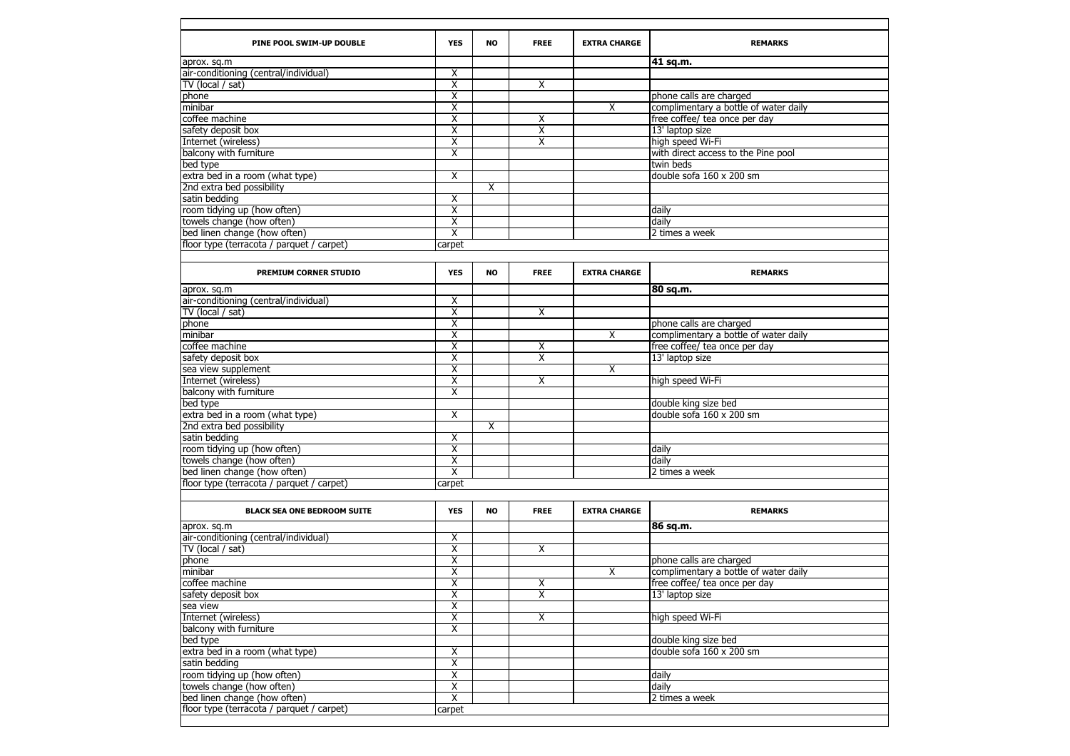| PINE POOL SWIM-UP DOUBLE                  | <b>YES</b>              | <b>NO</b>      | <b>FREE</b>             | <b>EXTRA CHARGE</b>     | <b>REMARKS</b>                        |
|-------------------------------------------|-------------------------|----------------|-------------------------|-------------------------|---------------------------------------|
| aprox. sq.m                               |                         |                |                         |                         | 41 sq.m.                              |
| air-conditioning (central/individual)     | Χ                       |                |                         |                         |                                       |
| TV (local / sat)                          | $\overline{\mathsf{x}}$ |                | Χ                       |                         |                                       |
| phone                                     | $\overline{\mathsf{x}}$ |                |                         |                         | phone calls are charged               |
| minibar                                   | Χ                       |                |                         | $\overline{X}$          | complimentary a bottle of water daily |
| coffee machine                            | $\overline{\mathsf{x}}$ |                | Χ                       |                         | free coffee/ tea once per day         |
| safety deposit box                        | $\overline{\mathsf{x}}$ |                | $\overline{\mathsf{x}}$ |                         | 13' laptop size                       |
| Internet (wireless)                       | $\overline{\mathsf{x}}$ |                | $\overline{\mathsf{X}}$ |                         | high speed Wi-Fi                      |
| balcony with furniture                    | $\overline{\mathsf{x}}$ |                |                         |                         | with direct access to the Pine pool   |
| bed type                                  |                         |                |                         |                         | twin beds                             |
| extra bed in a room (what type)           | $\overline{\mathsf{X}}$ |                |                         |                         | double sofa 160 x 200 sm              |
| 2nd extra bed possibility                 |                         | $\overline{X}$ |                         |                         |                                       |
| satin bedding                             | Χ                       |                |                         |                         |                                       |
| room tidying up (how often)               | $\overline{\chi}$       |                |                         |                         | daily                                 |
| towels change (how often)                 | $\overline{\mathsf{X}}$ |                |                         |                         | daily                                 |
| bed linen change (how often)              | $\overline{\mathsf{x}}$ |                |                         |                         | 2 times a week                        |
| floor type (terracota / parquet / carpet) | carpet                  |                |                         |                         |                                       |
| <b>PREMIUM CORNER STUDIO</b>              | <b>YES</b>              | <b>NO</b>      | <b>FREE</b>             | <b>EXTRA CHARGE</b>     | <b>REMARKS</b>                        |
| aprox. sq.m                               |                         |                |                         |                         | 80 sq.m.                              |
| air-conditioning (central/individual)     | $\overline{\mathsf{X}}$ |                |                         |                         |                                       |
| TV (local / sat)                          | $\overline{\mathsf{X}}$ |                | Χ                       |                         |                                       |
| phone                                     | $\overline{\mathsf{x}}$ |                |                         |                         | phone calls are charged               |
| minibar                                   | $\overline{\mathsf{x}}$ |                |                         | $\overline{X}$          | complimentary a bottle of water daily |
| coffee machine                            | $\overline{\mathsf{x}}$ |                | $\overline{X}$          |                         | free coffee/ tea once per day         |
| safety deposit box                        | Χ                       |                | $\overline{\mathsf{X}}$ |                         | 13' laptop size                       |
| sea view supplement                       | $\overline{\mathsf{X}}$ |                |                         | $\overline{\mathsf{x}}$ |                                       |
| Internet (wireless)                       | $\overline{\mathsf{X}}$ |                | Χ                       |                         | high speed Wi-Fi                      |
| balcony with furniture                    | $\overline{\mathsf{X}}$ |                |                         |                         |                                       |
| bed type                                  |                         |                |                         |                         | double king size bed                  |
| extra bed in a room (what type)           | Χ                       |                |                         |                         | double sofa 160 x 200 sm              |
| 2nd extra bed possibility                 |                         | X              |                         |                         |                                       |
| satin bedding                             | $\overline{X}$          |                |                         |                         |                                       |
| room tidying up (how often)               | Χ                       |                |                         |                         | daily                                 |
| towels change (how often)                 | $\overline{X}$          |                |                         |                         | daily                                 |
| bed linen change (how often)              | $\overline{\mathsf{X}}$ |                |                         |                         | 2 times a week                        |
| floor type (terracota / parquet / carpet) | carpet                  |                |                         |                         |                                       |
| <b>BLACK SEA ONE BEDROOM SUITE</b>        | <b>YES</b>              | <b>NO</b>      | <b>FREE</b>             | <b>EXTRA CHARGE</b>     | <b>REMARKS</b>                        |
| aprox. sq.m                               |                         |                |                         |                         | 86 sq.m.                              |
| air-conditioning (central/individual)     | X                       |                |                         |                         |                                       |
| TV (local / sat)                          | $\overline{\mathsf{X}}$ |                | X                       |                         |                                       |
| phone                                     | $\overline{\mathsf{X}}$ |                |                         |                         | phone calls are charged               |
| minibar                                   | $\overline{\mathsf{X}}$ |                |                         | $\overline{X}$          | complimentary a bottle of water daily |
| coffee machine                            | $\overline{\chi}$       |                | $\overline{\mathsf{X}}$ |                         | free coffee/ tea once per day         |
| safety deposit box                        | $\overline{X}$          |                | $\overline{\mathsf{X}}$ |                         | 13' laptop size                       |
| sea view                                  | $\overline{\mathsf{x}}$ |                |                         |                         |                                       |
| Internet (wireless)                       | $\overline{X}$          |                | $\overline{X}$          |                         | high speed Wi-Fi                      |
| balcony with furniture                    | $\overline{X}$          |                |                         |                         |                                       |
| bed type                                  |                         |                |                         |                         | double king size bed                  |
| extra bed in a room (what type)           | Χ                       |                |                         |                         | double sofa 160 x 200 sm              |
| satin bedding                             | $\overline{\mathsf{X}}$ |                |                         |                         |                                       |
| room tidying up (how often)               | $\overline{\mathsf{X}}$ |                |                         |                         | daily                                 |
| towels change (how often)                 | $\overline{\mathsf{X}}$ |                |                         |                         | daily                                 |
| bed linen change (how often)              | $\overline{\mathsf{X}}$ |                |                         |                         | 2 times a week                        |
| floor type (terracota / parquet / carpet) | carpet                  |                |                         |                         |                                       |
|                                           |                         |                |                         |                         |                                       |
|                                           |                         |                |                         |                         |                                       |